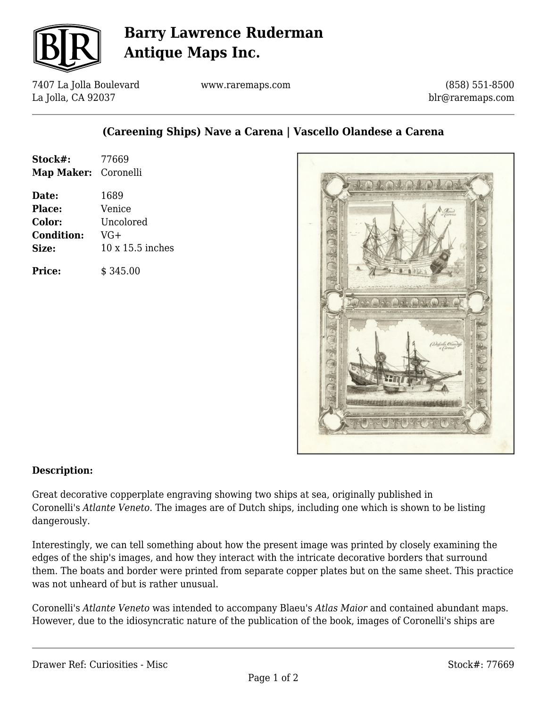

# **Barry Lawrence Ruderman Antique Maps Inc.**

7407 La Jolla Boulevard La Jolla, CA 92037

www.raremaps.com

(858) 551-8500 blr@raremaps.com

## **(Careening Ships) Nave a Carena | Vascello Olandese a Carena**

| Stock#:<br>Map Maker: Coronelli | 77669            |
|---------------------------------|------------------|
| Date:                           | 1689             |
| Place:                          | Venice           |
| Color:                          | Uncolored        |
| <b>Condition:</b>               | VG+              |
| Size:                           | 10 x 15.5 inches |
| <b>Price:</b>                   | \$345.00         |



#### **Description:**

Great decorative copperplate engraving showing two ships at sea, originally published in Coronelli's *Atlante Veneto*. The images are of Dutch ships, including one which is shown to be listing dangerously.

Interestingly, we can tell something about how the present image was printed by closely examining the edges of the ship's images, and how they interact with the intricate decorative borders that surround them. The boats and border were printed from separate copper plates but on the same sheet. This practice was not unheard of but is rather unusual.

Coronelli's *Atlante Veneto* was intended to accompany Blaeu's *Atlas Maior* and contained abundant maps. However, due to the idiosyncratic nature of the publication of the book, images of Coronelli's ships are